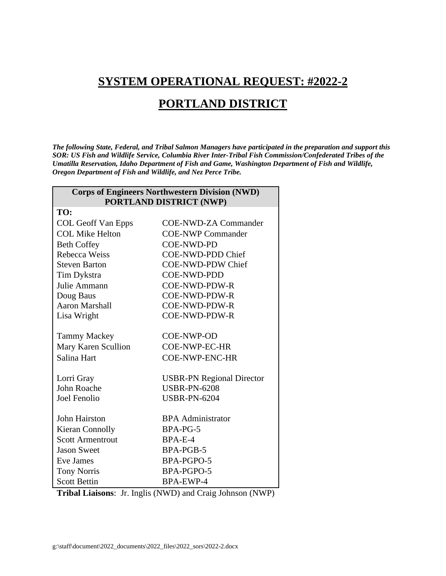## **SYSTEM OPERATIONAL REQUEST: #2022-2**

## **PORTLAND DISTRICT**

*The following State, Federal, and Tribal Salmon Managers have participated in the preparation and support this SOR: US Fish and Wildlife Service, Columbia River Inter-Tribal Fish Commission/Confederated Tribes of the Umatilla Reservation, Idaho Department of Fish and Game, Washington Department of Fish and Wildlife, Oregon Department of Fish and Wildlife, and Nez Perce Tribe.* 

| <b>Corps of Engineers Northwestern Division (NWD)</b> |                                  |
|-------------------------------------------------------|----------------------------------|
| <b>PORTLAND DISTRICT (NWP)</b>                        |                                  |
| TO:                                                   |                                  |
| <b>COL Geoff Van Epps</b>                             | <b>COE-NWD-ZA Commander</b>      |
| <b>COL Mike Helton</b>                                | <b>COE-NWP Commander</b>         |
| <b>Beth Coffey</b>                                    | <b>COE-NWD-PD</b>                |
| Rebecca Weiss                                         | <b>COE-NWD-PDD Chief</b>         |
| <b>Steven Barton</b>                                  | <b>COE-NWD-PDW Chief</b>         |
| Tim Dykstra                                           | <b>COE-NWD-PDD</b>               |
| Julie Ammann                                          | <b>COE-NWD-PDW-R</b>             |
| Doug Baus                                             | <b>COE-NWD-PDW-R</b>             |
| <b>Aaron Marshall</b>                                 | <b>COE-NWD-PDW-R</b>             |
| Lisa Wright                                           | <b>COE-NWD-PDW-R</b>             |
|                                                       |                                  |
| <b>Tammy Mackey</b>                                   | COE-NWP-OD                       |
| Mary Karen Scullion                                   | COE-NWP-EC-HR                    |
| Salina Hart                                           | <b>COE-NWP-ENC-HR</b>            |
|                                                       |                                  |
| Lorri Gray                                            | <b>USBR-PN Regional Director</b> |
| <b>John Roache</b>                                    | <b>USBR-PN-6208</b>              |
| <b>Joel Fenolio</b>                                   | <b>USBR-PN-6204</b>              |
|                                                       |                                  |
| John Hairston                                         | <b>BPA</b> Administrator         |
| <b>Kieran Connolly</b>                                | BPA-PG-5                         |
| <b>Scott Armentrout</b>                               | BPA-E-4                          |
| <b>Jason Sweet</b>                                    | BPA-PGB-5                        |
| <b>Eve James</b>                                      | BPA-PGPO-5                       |
| <b>Tony Norris</b>                                    | BPA-PGPO-5                       |
| <b>Scott Bettin</b>                                   | <b>BPA-EWP-4</b>                 |

**Tribal Liaisons**: Jr. Inglis (NWD) and Craig Johnson (NWP)